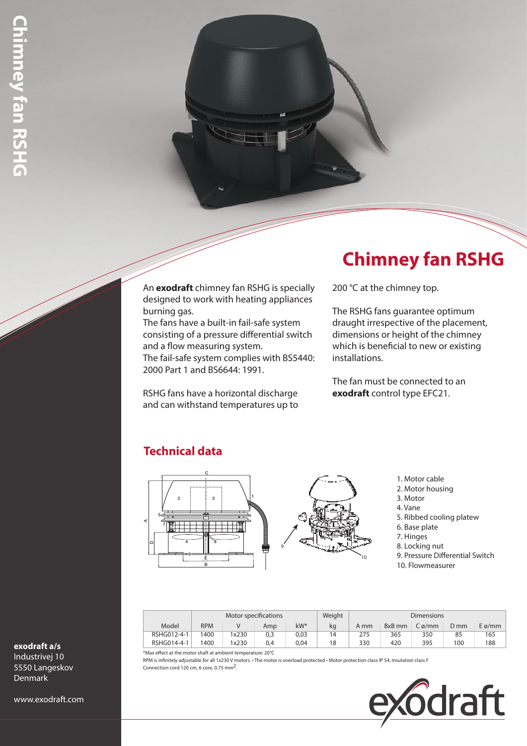#### An **exodraft** chimney fan RSHG is specially designed to work with heating appliances burning gas.

The fans have a built-in fail-safe system consisting of a pressure differential switch and a flow measuring system. The fail-safe system complies with BS5440:

2000 Part 1 and BS6644: 1991.

RSHG fans have a horizontal discharge and can withstand temperatures up to

# **Chimney fan RSHG**

200 °C at the chimney top.

The RSHG fans guarantee optimum draught irrespective of the placement, dimensions or height of the chimney which is beneficial to new or existing installations.

The fan must be connected to an **exodraft** control type EFC21.

## **Technical data**



<sup>1.</sup> Motor cable

- 2. Motor housing
- 3. Motor
- 4. Vane
- 5. Ribbed cooling platew
- 6. Base plate
- 7. Hinges
- 8. Locking nut
- 9. Pressure Differential Switch 10. Flowmeasurer

|             | Motor specifications |       |     |        | Weight | <b>Dimensions</b> |        |       |      |                |  |
|-------------|----------------------|-------|-----|--------|--------|-------------------|--------|-------|------|----------------|--|
| Model       | <b>RPM</b>           |       | Amp | $kW^*$ | kq     | A mm              | BxB mm | Cø/mm | D mm | $E\varphi$ /mm |  |
| RSHG012-4-1 | 1400                 | 1x230 | 0,3 | 0.03   | 14     | 275               | 365    | 350   | 85   | 165            |  |
| RSHG014-4-1 | 1400                 | 1x230 | 0.4 | 0.04   | 18     | 330               | 420    | 395   | 100  | 188            |  |

\*Max effect at the motor shaft at ambient temperature: 20°C

RPM is infinitely adjustable for all 1x230 V motors. • The motor is overload protected • Motor protection class IP 54, Insulation class F Connection cord 120 cm, 6 core, 0.75 mm2.



#### **exodraft a/s**

Industrivej 10 5550 Langeskov **Denmark** 

www.exodraft.com